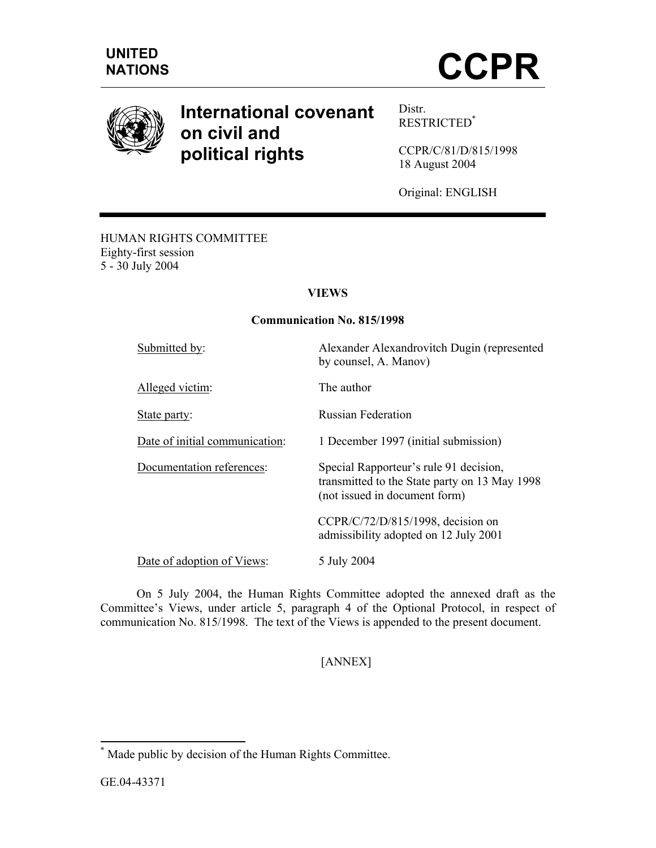



# **International covenant on civil and political rights**

Distr. RESTRICTED\*

CCPR/C/81/D/815/1998 18 August 2004

Original: ENGLISH

#### HUMAN RIGHTS COMMITTEE Eighty-first session 5 - 30 July 2004

# **VIEWS**

#### **Communication No. 815/1998**

Submitted by: Alexander Alexandrovitch Dugin (represented by counsel, A. Manov) Alleged victim: The author State party: Russian Federation Date of initial communication: 1 December 1997 (initial submission) Documentation references: Special Rapporteur's rule 91 decision, transmitted to the State party on 13 May 1998 (not issued in document form) CCPR/C/72/D/815/1998, decision on admissibility adopted on 12 July 2001 Date of adoption of Views: 5 July 2004

 On 5 July 2004, the Human Rights Committee adopted the annexed draft as the Committee's Views, under article 5, paragraph 4 of the Optional Protocol, in respect of communication No. 815/1998. The text of the Views is appended to the present document.

# [ANNEX]

-

<sup>\*</sup> Made public by decision of the Human Rights Committee.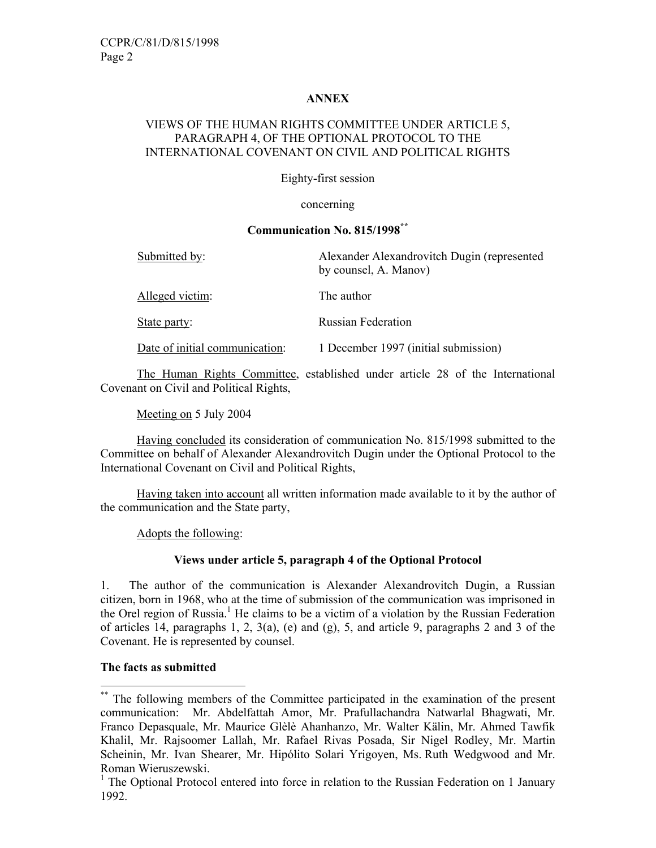## **ANNEX**

## VIEWS OF THE HUMAN RIGHTS COMMITTEE UNDER ARTICLE 5, PARAGRAPH 4, OF THE OPTIONAL PROTOCOL TO THE INTERNATIONAL COVENANT ON CIVIL AND POLITICAL RIGHTS

Eighty-first session

concerning

## **Communication No. 815/1998\*\***

| Submitted by:                  | Alexander Alexandrovitch Dugin (represented<br>by counsel, A. Manov) |
|--------------------------------|----------------------------------------------------------------------|
| Alleged victim:                | The author                                                           |
| State party:                   | <b>Russian Federation</b>                                            |
| Date of initial communication: | 1 December 1997 (initial submission)                                 |

 The Human Rights Committee, established under article 28 of the International Covenant on Civil and Political Rights,

Meeting on 5 July 2004

Having concluded its consideration of communication No. 815/1998 submitted to the Committee on behalf of Alexander Alexandrovitch Dugin under the Optional Protocol to the International Covenant on Civil and Political Rights,

Having taken into account all written information made available to it by the author of the communication and the State party,

Adopts the following:

# **Views under article 5, paragraph 4 of the Optional Protocol**

1. The author of the communication is Alexander Alexandrovitch Dugin, a Russian citizen, born in 1968, who at the time of submission of the communication was imprisoned in the Orel region of Russia.<sup>1</sup> He claims to be a victim of a violation by the Russian Federation of articles 14, paragraphs 1, 2,  $3(a)$ , (e) and (g), 5, and article 9, paragraphs 2 and 3 of the Covenant. He is represented by counsel.

# **The facts as submitted**

-

<sup>\*\*</sup> The following members of the Committee participated in the examination of the present communication: Mr. Abdelfattah Amor, Mr. Prafullachandra Natwarlal Bhagwati, Mr. Franco Depasquale, Mr. Maurice Glèlè Ahanhanzo, Mr. Walter Kälin, Mr. Ahmed Tawfik Khalil, Mr. Rajsoomer Lallah, Mr. Rafael Rivas Posada, Sir Nigel Rodley, Mr. Martin Scheinin, Mr. Ivan Shearer, Mr. Hipólito Solari Yrigoyen, Ms. Ruth Wedgwood and Mr. Roman Wieruszewski.

<sup>&</sup>lt;sup>1</sup> The Optional Protocol entered into force in relation to the Russian Federation on 1 January 1992.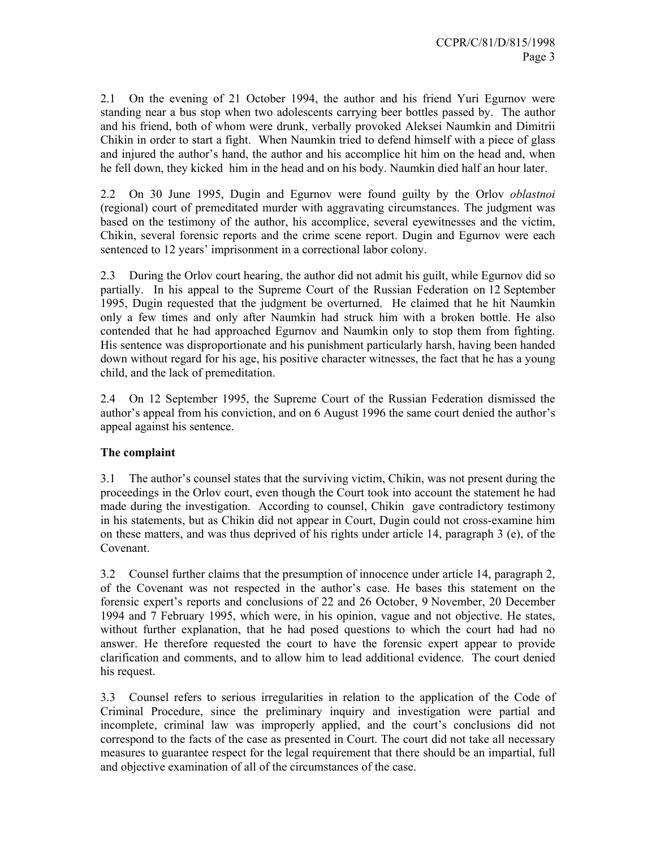2.1 On the evening of 21 October 1994, the author and his friend Yuri Egurnov were standing near a bus stop when two adolescents carrying beer bottles passed by. The author and his friend, both of whom were drunk, verbally provoked Aleksei Naumkin and Dimitrii Chikin in order to start a fight. When Naumkin tried to defend himself with a piece of glass and injured the author's hand, the author and his accomplice hit him on the head and, when he fell down, they kicked him in the head and on his body. Naumkin died half an hour later.

2.2 On 30 June 1995, Dugin and Egurnov were found guilty by the Orlov *oblastnoi* (regional) court of premeditated murder with aggravating circumstances. The judgment was based on the testimony of the author, his accomplice, several eyewitnesses and the victim, Chikin, several forensic reports and the crime scene report. Dugin and Egurnov were each sentenced to 12 years' imprisonment in a correctional labor colony.

2.3 During the Orlov court hearing, the author did not admit his guilt, while Egurnov did so partially. In his appeal to the Supreme Court of the Russian Federation on 12 September 1995, Dugin requested that the judgment be overturned. He claimed that he hit Naumkin only a few times and only after Naumkin had struck him with a broken bottle. He also contended that he had approached Egurnov and Naumkin only to stop them from fighting. His sentence was disproportionate and his punishment particularly harsh, having been handed down without regard for his age, his positive character witnesses, the fact that he has a young child, and the lack of premeditation.

2.4 On 12 September 1995, the Supreme Court of the Russian Federation dismissed the author's appeal from his conviction, and on 6 August 1996 the same court denied the author's appeal against his sentence.

# **The complaint**

3.1 The author's counsel states that the surviving victim, Chikin, was not present during the proceedings in the Orlov court, even though the Court took into account the statement he had made during the investigation. According to counsel, Chikin gave contradictory testimony in his statements, but as Chikin did not appear in Court, Dugin could not cross-examine him on these matters, and was thus deprived of his rights under article 14, paragraph 3 (e), of the Covenant.

3.2 Counsel further claims that the presumption of innocence under article 14, paragraph 2, of the Covenant was not respected in the author's case. He bases this statement on the forensic expert's reports and conclusions of 22 and 26 October, 9 November, 20 December 1994 and 7 February 1995, which were, in his opinion, vague and not objective. He states, without further explanation, that he had posed questions to which the court had had no answer. He therefore requested the court to have the forensic expert appear to provide clarification and comments, and to allow him to lead additional evidence. The court denied his request.

3.3 Counsel refers to serious irregularities in relation to the application of the Code of Criminal Procedure, since the preliminary inquiry and investigation were partial and incomplete, criminal law was improperly applied, and the court's conclusions did not correspond to the facts of the case as presented in Court. The court did not take all necessary measures to guarantee respect for the legal requirement that there should be an impartial, full and objective examination of all of the circumstances of the case.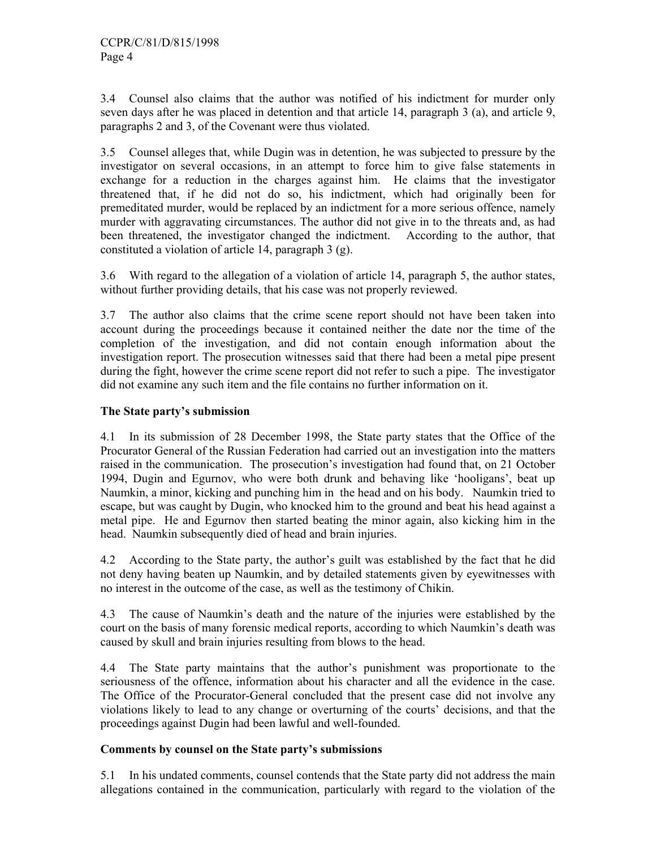3.4 Counsel also claims that the author was notified of his indictment for murder only seven days after he was placed in detention and that article 14, paragraph 3 (a), and article 9, paragraphs 2 and 3, of the Covenant were thus violated.

3.5 Counsel alleges that, while Dugin was in detention, he was subjected to pressure by the investigator on several occasions, in an attempt to force him to give false statements in exchange for a reduction in the charges against him. He claims that the investigator threatened that, if he did not do so, his indictment, which had originally been for premeditated murder, would be replaced by an indictment for a more serious offence, namely murder with aggravating circumstances. The author did not give in to the threats and, as had been threatened, the investigator changed the indictment. According to the author, that constituted a violation of article 14, paragraph 3 (g).

3.6 With regard to the allegation of a violation of article 14, paragraph 5, the author states, without further providing details, that his case was not properly reviewed.

3.7 The author also claims that the crime scene report should not have been taken into account during the proceedings because it contained neither the date nor the time of the completion of the investigation, and did not contain enough information about the investigation report. The prosecution witnesses said that there had been a metal pipe present during the fight, however the crime scene report did not refer to such a pipe. The investigator did not examine any such item and the file contains no further information on it.

## **The State party's submission**

4.1 In its submission of 28 December 1998, the State party states that the Office of the Procurator General of the Russian Federation had carried out an investigation into the matters raised in the communication. The prosecution's investigation had found that, on 21 October 1994, Dugin and Egurnov, who were both drunk and behaving like 'hooligans', beat up Naumkin, a minor, kicking and punching him in the head and on his body. Naumkin tried to escape, but was caught by Dugin, who knocked him to the ground and beat his head against a metal pipe. He and Egurnov then started beating the minor again, also kicking him in the head. Naumkin subsequently died of head and brain injuries.

4.2 According to the State party, the author's guilt was established by the fact that he did not deny having beaten up Naumkin, and by detailed statements given by eyewitnesses with no interest in the outcome of the case, as well as the testimony of Chikin.

4.3 The cause of Naumkin's death and the nature of the injuries were established by the court on the basis of many forensic medical reports, according to which Naumkin's death was caused by skull and brain injuries resulting from blows to the head.

4.4 The State party maintains that the author's punishment was proportionate to the seriousness of the offence, information about his character and all the evidence in the case. The Office of the Procurator-General concluded that the present case did not involve any violations likely to lead to any change or overturning of the courts' decisions, and that the proceedings against Dugin had been lawful and well-founded.

#### **Comments by counsel on the State party's submissions**

5.1 In his undated comments, counsel contends that the State party did not address the main allegations contained in the communication, particularly with regard to the violation of the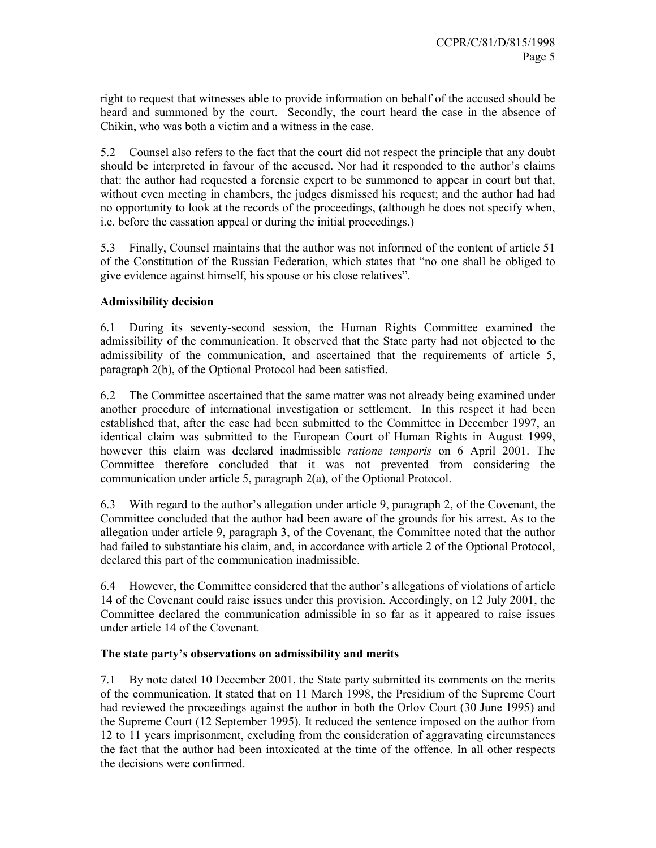right to request that witnesses able to provide information on behalf of the accused should be heard and summoned by the court. Secondly, the court heard the case in the absence of Chikin, who was both a victim and a witness in the case.

5.2 Counsel also refers to the fact that the court did not respect the principle that any doubt should be interpreted in favour of the accused. Nor had it responded to the author's claims that: the author had requested a forensic expert to be summoned to appear in court but that, without even meeting in chambers, the judges dismissed his request; and the author had had no opportunity to look at the records of the proceedings, (although he does not specify when, i.e. before the cassation appeal or during the initial proceedings.)

5.3 Finally, Counsel maintains that the author was not informed of the content of article 51 of the Constitution of the Russian Federation, which states that "no one shall be obliged to give evidence against himself, his spouse or his close relatives".

# **Admissibility decision**

6.1 During its seventy-second session, the Human Rights Committee examined the admissibility of the communication. It observed that the State party had not objected to the admissibility of the communication, and ascertained that the requirements of article 5, paragraph 2(b), of the Optional Protocol had been satisfied.

6.2 The Committee ascertained that the same matter was not already being examined under another procedure of international investigation or settlement. In this respect it had been established that, after the case had been submitted to the Committee in December 1997, an identical claim was submitted to the European Court of Human Rights in August 1999, however this claim was declared inadmissible *ratione temporis* on 6 April 2001. The Committee therefore concluded that it was not prevented from considering the communication under article 5, paragraph 2(a), of the Optional Protocol.

6.3 With regard to the author's allegation under article 9, paragraph 2, of the Covenant, the Committee concluded that the author had been aware of the grounds for his arrest. As to the allegation under article 9, paragraph 3, of the Covenant, the Committee noted that the author had failed to substantiate his claim, and, in accordance with article 2 of the Optional Protocol, declared this part of the communication inadmissible.

6.4 However, the Committee considered that the author's allegations of violations of article 14 of the Covenant could raise issues under this provision. Accordingly, on 12 July 2001, the Committee declared the communication admissible in so far as it appeared to raise issues under article 14 of the Covenant.

#### **The state party's observations on admissibility and merits**

7.1 By note dated 10 December 2001, the State party submitted its comments on the merits of the communication. It stated that on 11 March 1998, the Presidium of the Supreme Court had reviewed the proceedings against the author in both the Orlov Court (30 June 1995) and the Supreme Court (12 September 1995). It reduced the sentence imposed on the author from 12 to 11 years imprisonment, excluding from the consideration of aggravating circumstances the fact that the author had been intoxicated at the time of the offence. In all other respects the decisions were confirmed.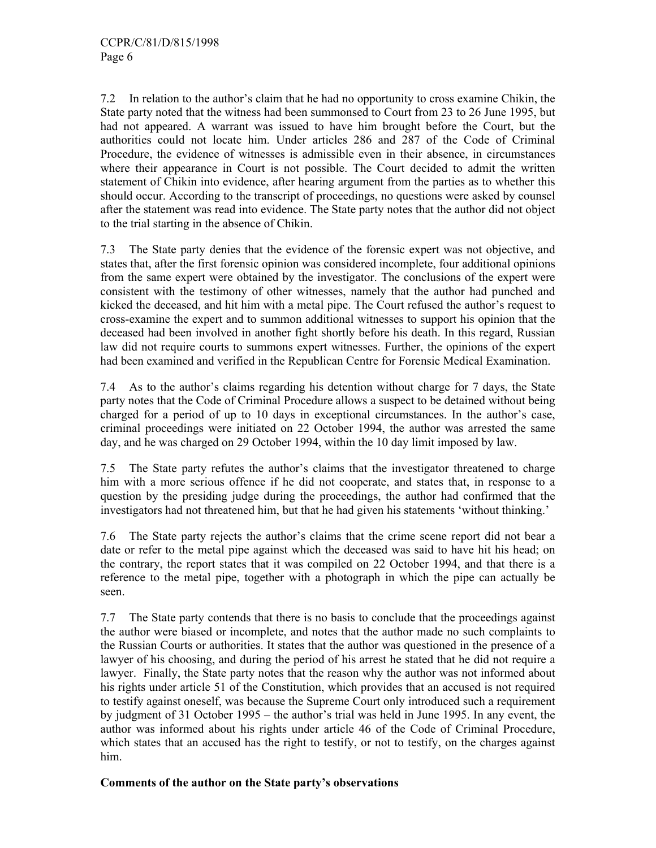7.2 In relation to the author's claim that he had no opportunity to cross examine Chikin, the State party noted that the witness had been summonsed to Court from 23 to 26 June 1995, but had not appeared. A warrant was issued to have him brought before the Court, but the authorities could not locate him. Under articles 286 and 287 of the Code of Criminal Procedure, the evidence of witnesses is admissible even in their absence, in circumstances where their appearance in Court is not possible. The Court decided to admit the written statement of Chikin into evidence, after hearing argument from the parties as to whether this should occur. According to the transcript of proceedings, no questions were asked by counsel after the statement was read into evidence. The State party notes that the author did not object to the trial starting in the absence of Chikin.

7.3 The State party denies that the evidence of the forensic expert was not objective, and states that, after the first forensic opinion was considered incomplete, four additional opinions from the same expert were obtained by the investigator. The conclusions of the expert were consistent with the testimony of other witnesses, namely that the author had punched and kicked the deceased, and hit him with a metal pipe. The Court refused the author's request to cross-examine the expert and to summon additional witnesses to support his opinion that the deceased had been involved in another fight shortly before his death. In this regard, Russian law did not require courts to summons expert witnesses. Further, the opinions of the expert had been examined and verified in the Republican Centre for Forensic Medical Examination.

7.4 As to the author's claims regarding his detention without charge for 7 days, the State party notes that the Code of Criminal Procedure allows a suspect to be detained without being charged for a period of up to 10 days in exceptional circumstances. In the author's case, criminal proceedings were initiated on 22 October 1994, the author was arrested the same day, and he was charged on 29 October 1994, within the 10 day limit imposed by law.

7.5 The State party refutes the author's claims that the investigator threatened to charge him with a more serious offence if he did not cooperate, and states that, in response to a question by the presiding judge during the proceedings, the author had confirmed that the investigators had not threatened him, but that he had given his statements 'without thinking.'

7.6 The State party rejects the author's claims that the crime scene report did not bear a date or refer to the metal pipe against which the deceased was said to have hit his head; on the contrary, the report states that it was compiled on 22 October 1994, and that there is a reference to the metal pipe, together with a photograph in which the pipe can actually be seen.

7.7 The State party contends that there is no basis to conclude that the proceedings against the author were biased or incomplete, and notes that the author made no such complaints to the Russian Courts or authorities. It states that the author was questioned in the presence of a lawyer of his choosing, and during the period of his arrest he stated that he did not require a lawyer. Finally, the State party notes that the reason why the author was not informed about his rights under article 51 of the Constitution, which provides that an accused is not required to testify against oneself, was because the Supreme Court only introduced such a requirement by judgment of 31 October 1995 – the author's trial was held in June 1995. In any event, the author was informed about his rights under article 46 of the Code of Criminal Procedure, which states that an accused has the right to testify, or not to testify, on the charges against him.

#### **Comments of the author on the State party's observations**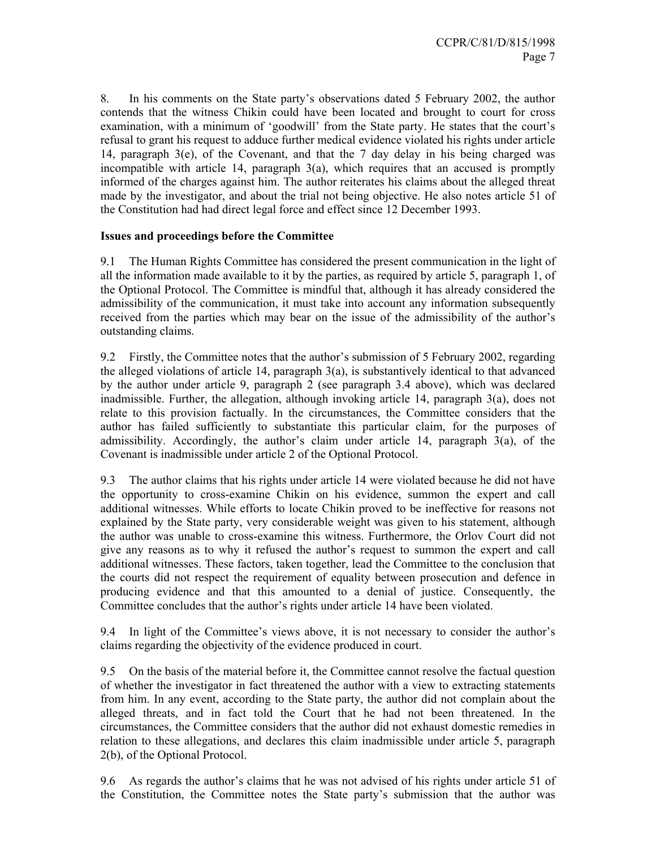8. In his comments on the State party's observations dated 5 February 2002, the author contends that the witness Chikin could have been located and brought to court for cross examination, with a minimum of 'goodwill' from the State party. He states that the court's refusal to grant his request to adduce further medical evidence violated his rights under article 14, paragraph 3(e), of the Covenant, and that the 7 day delay in his being charged was incompatible with article 14, paragraph 3(a), which requires that an accused is promptly informed of the charges against him. The author reiterates his claims about the alleged threat made by the investigator, and about the trial not being objective. He also notes article 51 of the Constitution had had direct legal force and effect since 12 December 1993.

## **Issues and proceedings before the Committee**

9.1 The Human Rights Committee has considered the present communication in the light of all the information made available to it by the parties, as required by article 5, paragraph 1, of the Optional Protocol. The Committee is mindful that, although it has already considered the admissibility of the communication, it must take into account any information subsequently received from the parties which may bear on the issue of the admissibility of the author's outstanding claims.

9.2 Firstly, the Committee notes that the author's submission of 5 February 2002, regarding the alleged violations of article 14, paragraph 3(a), is substantively identical to that advanced by the author under article 9, paragraph 2 (see paragraph 3.4 above), which was declared inadmissible. Further, the allegation, although invoking article 14, paragraph 3(a), does not relate to this provision factually. In the circumstances, the Committee considers that the author has failed sufficiently to substantiate this particular claim, for the purposes of admissibility. Accordingly, the author's claim under article 14, paragraph 3(a), of the Covenant is inadmissible under article 2 of the Optional Protocol.

9.3 The author claims that his rights under article 14 were violated because he did not have the opportunity to cross-examine Chikin on his evidence, summon the expert and call additional witnesses. While efforts to locate Chikin proved to be ineffective for reasons not explained by the State party, very considerable weight was given to his statement, although the author was unable to cross-examine this witness. Furthermore, the Orlov Court did not give any reasons as to why it refused the author's request to summon the expert and call additional witnesses. These factors, taken together, lead the Committee to the conclusion that the courts did not respect the requirement of equality between prosecution and defence in producing evidence and that this amounted to a denial of justice. Consequently, the Committee concludes that the author's rights under article 14 have been violated.

9.4 In light of the Committee's views above, it is not necessary to consider the author's claims regarding the objectivity of the evidence produced in court.

9.5 On the basis of the material before it, the Committee cannot resolve the factual question of whether the investigator in fact threatened the author with a view to extracting statements from him. In any event, according to the State party, the author did not complain about the alleged threats, and in fact told the Court that he had not been threatened. In the circumstances, the Committee considers that the author did not exhaust domestic remedies in relation to these allegations, and declares this claim inadmissible under article 5, paragraph 2(b), of the Optional Protocol.

9.6 As regards the author's claims that he was not advised of his rights under article 51 of the Constitution, the Committee notes the State party's submission that the author was